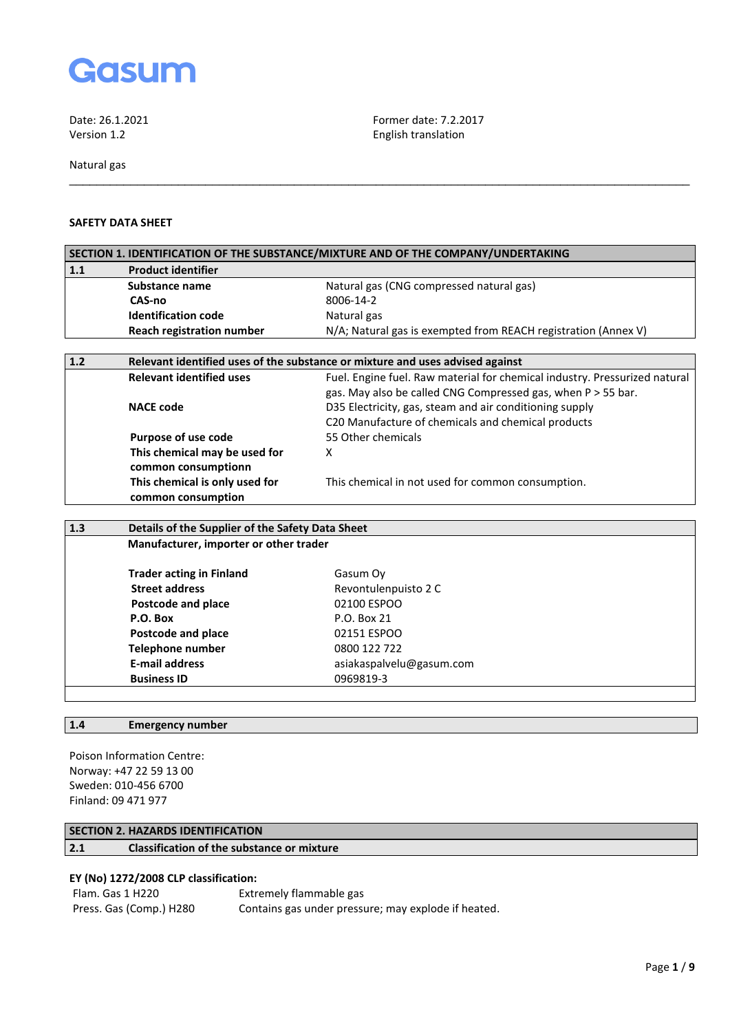

Date: 26.1.2021 **Former date: 7.2.2017**<br>Version 1.2

Natural gas

## **SAFETY DATA SHEET**

|     |                                                  | SECTION 1. IDENTIFICATION OF THE SUBSTANCE/MIXTURE AND OF THE COMPANY/UNDERTAKING |  |  |
|-----|--------------------------------------------------|-----------------------------------------------------------------------------------|--|--|
| 1.1 | <b>Product identifier</b>                        |                                                                                   |  |  |
|     | Substance name                                   | Natural gas (CNG compressed natural gas)                                          |  |  |
|     | CAS-no                                           | 8006-14-2                                                                         |  |  |
|     | <b>Identification code</b>                       | Natural gas                                                                       |  |  |
|     | <b>Reach registration number</b>                 | N/A; Natural gas is exempted from REACH registration (Annex V)                    |  |  |
|     |                                                  |                                                                                   |  |  |
| 1.2 |                                                  | Relevant identified uses of the substance or mixture and uses advised against     |  |  |
|     | <b>Relevant identified uses</b>                  | Fuel. Engine fuel. Raw material for chemical industry. Pressurized natural        |  |  |
|     |                                                  | gas. May also be called CNG Compressed gas, when P > 55 bar.                      |  |  |
|     | <b>NACE code</b>                                 | D35 Electricity, gas, steam and air conditioning supply                           |  |  |
|     |                                                  | C20 Manufacture of chemicals and chemical products                                |  |  |
|     | Purpose of use code                              | 55 Other chemicals                                                                |  |  |
|     | This chemical may be used for                    | X                                                                                 |  |  |
|     | common consumptionn                              |                                                                                   |  |  |
|     | This chemical is only used for                   | This chemical in not used for common consumption.                                 |  |  |
|     | common consumption                               |                                                                                   |  |  |
|     |                                                  |                                                                                   |  |  |
| 1.3 | Details of the Supplier of the Safety Data Sheet |                                                                                   |  |  |
|     | Manufacturer, importer or other trader           |                                                                                   |  |  |
|     |                                                  |                                                                                   |  |  |

\_\_\_\_\_\_\_\_\_\_\_\_\_\_\_\_\_\_\_\_\_\_\_\_\_\_\_\_\_\_\_\_\_\_\_\_\_\_\_\_\_\_\_\_\_\_\_\_\_\_\_\_\_\_\_\_\_\_\_\_\_\_\_\_\_\_\_\_\_\_\_\_\_\_\_\_\_\_\_\_\_\_\_\_\_\_\_\_\_\_\_

English translation

| <b>Trader acting in Finland</b> | Gasum Oy                 |
|---------------------------------|--------------------------|
| <b>Street address</b>           | Revontulenpuisto 2 C     |
| Postcode and place              | 02100 ESPOO              |
| P.O. Box                        | P.O. Box 21              |
| Postcode and place              | 02151 ESPOO              |
| <b>Telephone number</b>         | 0800 122 722             |
| <b>E-mail address</b>           | asiakaspalvelu@gasum.com |
| <b>Business ID</b>              | 0969819-3                |

# **1.4 Emergency number**

Poison Information Centre: Norway: +47 22 59 13 00 Sweden: 010-456 6700 Finland: 09 471 977

# **SECTION 2. HAZARDS IDENTIFICATION**

# **2.1 Classification of the substance or mixture**

# **EY (No) 1272/2008 CLP classification:**

| Flam. Gas 1 H220        | Extremely flammable gas                             |
|-------------------------|-----------------------------------------------------|
| Press. Gas (Comp.) H280 | Contains gas under pressure; may explode if heated. |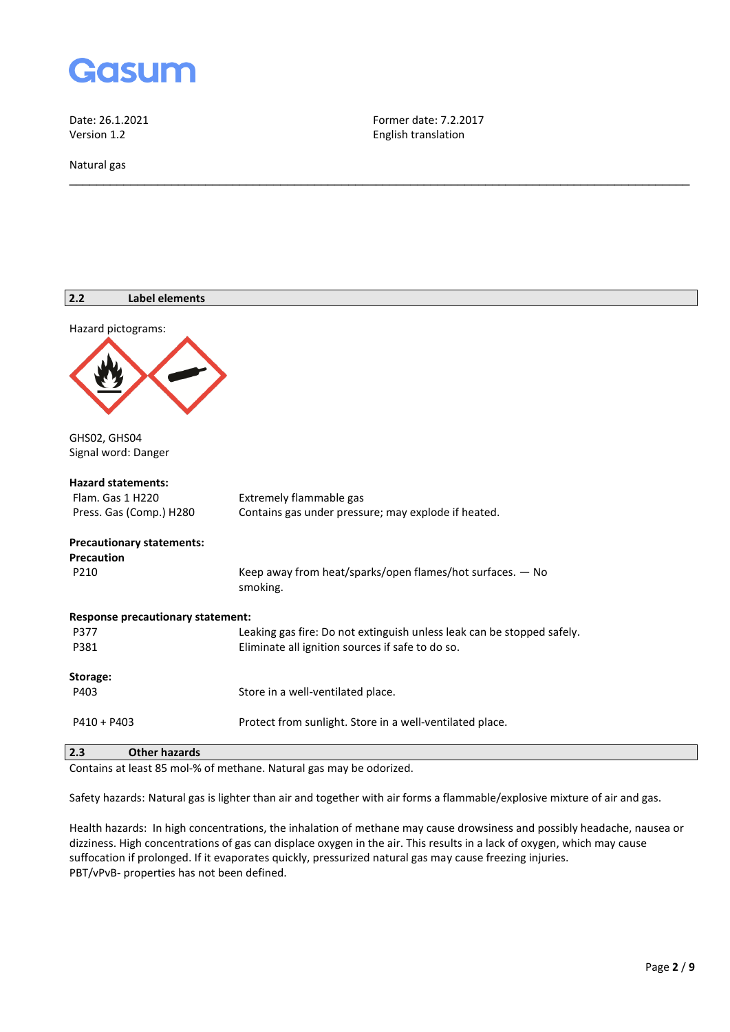

Natural gas

Date: 26.1.2021 **Former date: 7.2.2017**<br>Version 1.2 **Former date: 7.2.2017** English translation

\_\_\_\_\_\_\_\_\_\_\_\_\_\_\_\_\_\_\_\_\_\_\_\_\_\_\_\_\_\_\_\_\_\_\_\_\_\_\_\_\_\_\_\_\_\_\_\_\_\_\_\_\_\_\_\_\_\_\_\_\_\_\_\_\_\_\_\_\_\_\_\_\_\_\_\_\_\_\_\_\_\_\_\_\_\_\_\_\_\_\_

| 2.2<br><b>Label elements</b>             |                                                                        |
|------------------------------------------|------------------------------------------------------------------------|
| Hazard pictograms:                       |                                                                        |
|                                          |                                                                        |
| GHS02, GHS04                             |                                                                        |
| Signal word: Danger                      |                                                                        |
| <b>Hazard statements:</b>                |                                                                        |
| Flam. Gas 1 H220                         | Extremely flammable gas                                                |
| Press. Gas (Comp.) H280                  | Contains gas under pressure; may explode if heated.                    |
| <b>Precautionary statements:</b>         |                                                                        |
| <b>Precaution</b>                        |                                                                        |
| P210                                     | Keep away from heat/sparks/open flames/hot surfaces. - No<br>smoking.  |
| <b>Response precautionary statement:</b> |                                                                        |
| P377                                     | Leaking gas fire: Do not extinguish unless leak can be stopped safely. |
| P381                                     | Eliminate all ignition sources if safe to do so.                       |
| Storage:                                 |                                                                        |
| P403                                     | Store in a well-ventilated place.                                      |
| $P410 + P403$                            | Protect from sunlight. Store in a well-ventilated place.               |
|                                          |                                                                        |

# **2.3 Other hazards**

Contains at least 85 mol-% of methane. Natural gas may be odorized.

Safety hazards: Natural gas is lighter than air and together with air forms a flammable/explosive mixture of air and gas.

Health hazards: In high concentrations, the inhalation of methane may cause drowsiness and possibly headache, nausea or dizziness. High concentrations of gas can displace oxygen in the air. This results in a lack of oxygen, which may cause suffocation if prolonged. If it evaporates quickly, pressurized natural gas may cause freezing injuries. PBT/vPvB- properties has not been defined.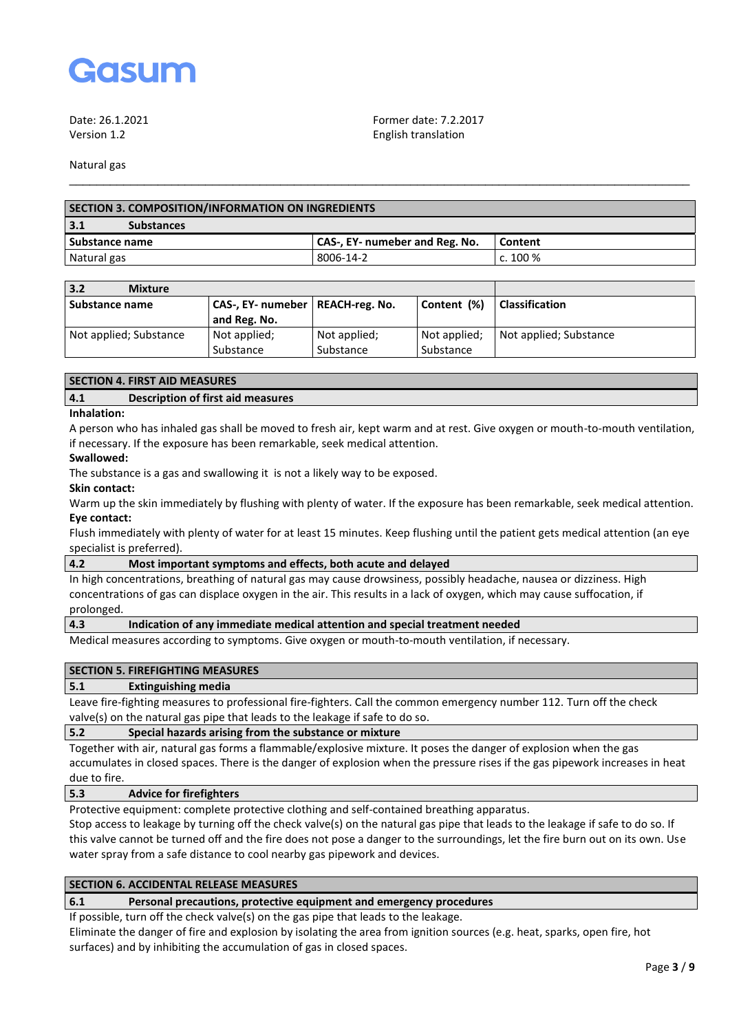

Date: 26.1.2021 Former date: 7.2.2017 Version 1.2 English translation

Natural gas

| <b>SECTION 3. COMPOSITION/INFORMATION ON INGREDIENTS</b> |                                |            |  |
|----------------------------------------------------------|--------------------------------|------------|--|
| 3.1<br><b>Substances</b>                                 |                                |            |  |
| Substance name                                           | CAS-, EY- numeber and Reg. No. | Content    |  |
| Natural gas                                              | 8006-14-2                      | c. $100\%$ |  |
|                                                          |                                |            |  |

\_\_\_\_\_\_\_\_\_\_\_\_\_\_\_\_\_\_\_\_\_\_\_\_\_\_\_\_\_\_\_\_\_\_\_\_\_\_\_\_\_\_\_\_\_\_\_\_\_\_\_\_\_\_\_\_\_\_\_\_\_\_\_\_\_\_\_\_\_\_\_\_\_\_\_\_\_\_\_\_\_\_\_\_\_\_\_\_\_\_\_

| 3.2<br><b>Mixture</b>  |                                    |              |              |                        |
|------------------------|------------------------------------|--------------|--------------|------------------------|
| <b>Substance name</b>  | CAS-, EY- numeber   REACH-reg. No. |              | Content (%)  | <b>Classification</b>  |
|                        | and Reg. No.                       |              |              |                        |
| Not applied; Substance | Not applied;                       | Not applied; | Not applied; | Not applied; Substance |
|                        | Substance                          | Substance    | Substance    |                        |

#### **SECTION 4. FIRST AID MEASURES**

## **4.1 Description of first aid measures**

#### **Inhalation:**

A person who has inhaled gas shall be moved to fresh air, kept warm and at rest. Give oxygen or mouth-to-mouth ventilation, if necessary. If the exposure has been remarkable, seek medical attention.

#### **Swallowed:**

The substance is a gas and swallowing it is not a likely way to be exposed.

#### **Skin contact:**

Warm up the skin immediately by flushing with plenty of water. If the exposure has been remarkable, seek medical attention. **Eye contact:**

Flush immediately with plenty of water for at least 15 minutes. Keep flushing until the patient gets medical attention (an eye specialist is preferred).

#### **4.2 Most important symptoms and effects, both acute and delayed**

In high concentrations, breathing of natural gas may cause drowsiness, possibly headache, nausea or dizziness. High concentrations of gas can displace oxygen in the air. This results in a lack of oxygen, which may cause suffocation, if prolonged.

### **4.3 Indication of any immediate medical attention and special treatment needed**

Medical measures according to symptoms. Give oxygen or mouth-to-mouth ventilation, if necessary.

#### **SECTION 5. FIREFIGHTING MEASURES**

#### **5.1 Extinguishing media**

Leave fire-fighting measures to professional fire-fighters. Call the common emergency number 112. Turn off the check valve(s) on the natural gas pipe that leads to the leakage if safe to do so.

### **5.2 Special hazards arising from the substance or mixture**

Together with air, natural gas forms a flammable/explosive mixture. It poses the danger of explosion when the gas accumulates in closed spaces. There is the danger of explosion when the pressure rises if the gas pipework increases in heat due to fire.

#### **5.3 Advice for firefighters**

Protective equipment: complete protective clothing and self-contained breathing apparatus.

Stop access to leakage by turning off the check valve(s) on the natural gas pipe that leads to the leakage if safe to do so. If this valve cannot be turned off and the fire does not pose a danger to the surroundings, let the fire burn out on its own. Use water spray from a safe distance to cool nearby gas pipework and devices.

## **SECTION 6. ACCIDENTAL RELEASE MEASURES**

#### **6.1 Personal precautions, protective equipment and emergency procedures**

If possible, turn off the check valve(s) on the gas pipe that leads to the leakage.

Eliminate the danger of fire and explosion by isolating the area from ignition sources (e.g. heat, sparks, open fire, hot surfaces) and by inhibiting the accumulation of gas in closed spaces.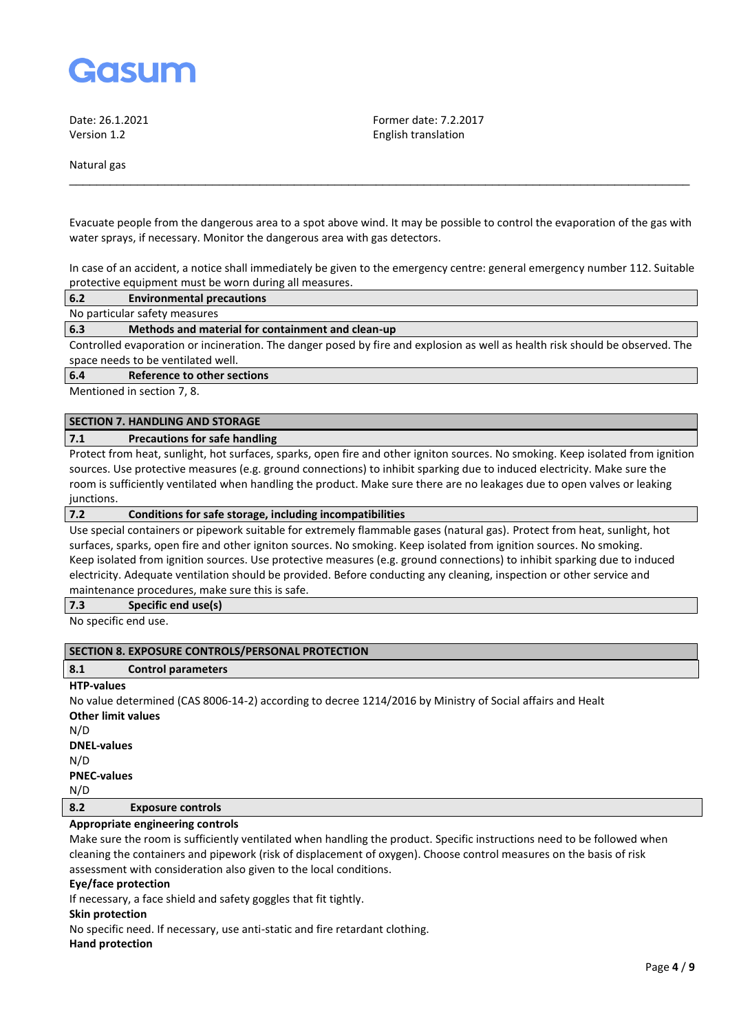

Date: 26.1.2021 Former date: 7.2.2017 Version 1.2 English translation

Natural gas

Evacuate people from the dangerous area to a spot above wind. It may be possible to control the evaporation of the gas with water sprays, if necessary. Monitor the dangerous area with gas detectors.

\_\_\_\_\_\_\_\_\_\_\_\_\_\_\_\_\_\_\_\_\_\_\_\_\_\_\_\_\_\_\_\_\_\_\_\_\_\_\_\_\_\_\_\_\_\_\_\_\_\_\_\_\_\_\_\_\_\_\_\_\_\_\_\_\_\_\_\_\_\_\_\_\_\_\_\_\_\_\_\_\_\_\_\_\_\_\_\_\_\_\_

In case of an accident, a notice shall immediately be given to the emergency centre: general emergency number 112. Suitable protective equipment must be worn during all measures.

**6.2 Environmental precautions**

No particular safety measures

**6.3 Methods and material for containment and clean-up**

Controlled evaporation or incineration. The danger posed by fire and explosion as well as health risk should be observed. The space needs to be ventilated well.

**6.4 Reference to other sections**

Mentioned in section 7, 8.

## **SECTION 7. HANDLING AND STORAGE**

#### **7.1 Precautions for safe handling**

Protect from heat, sunlight, hot surfaces, sparks, open fire and other igniton sources. No smoking. Keep isolated from ignition sources. Use protective measures (e.g. ground connections) to inhibit sparking due to induced electricity. Make sure the room is sufficiently ventilated when handling the product. Make sure there are no leakages due to open valves or leaking junctions.

#### **7.2 Conditions for safe storage, including incompatibilities**

Use special containers or pipework suitable for extremely flammable gases (natural gas). Protect from heat, sunlight, hot surfaces, sparks, open fire and other igniton sources. No smoking. Keep isolated from ignition sources. No smoking. Keep isolated from ignition sources. Use protective measures (e.g. ground connections) to inhibit sparking due to induced electricity. Adequate ventilation should be provided. Before conducting any cleaning, inspection or other service and maintenance procedures, make sure this is safe.

#### **7.3 Specific end use(s)**

No specific end use.

### **SECTION 8. EXPOSURE CONTROLS/PERSONAL PROTECTION**

## **8.1 Control parameters**

#### **HTP-values**

No value determined (CAS 8006-14-2) according to decree 1214/2016 by Ministry of Social affairs and Healt **Other limit values** N/D **DNEL-values** N/D **PNEC-values** N/D **8.2 Exposure controls**

## **Appropriate engineering controls**

Make sure the room is sufficiently ventilated when handling the product. Specific instructions need to be followed when cleaning the containers and pipework (risk of displacement of oxygen). Choose control measures on the basis of risk assessment with consideration also given to the local conditions.

#### **Eye/face protection**

If necessary, a face shield and safety goggles that fit tightly.

#### **Skin protection**

No specific need. If necessary, use anti-static and fire retardant clothing.

**Hand protection**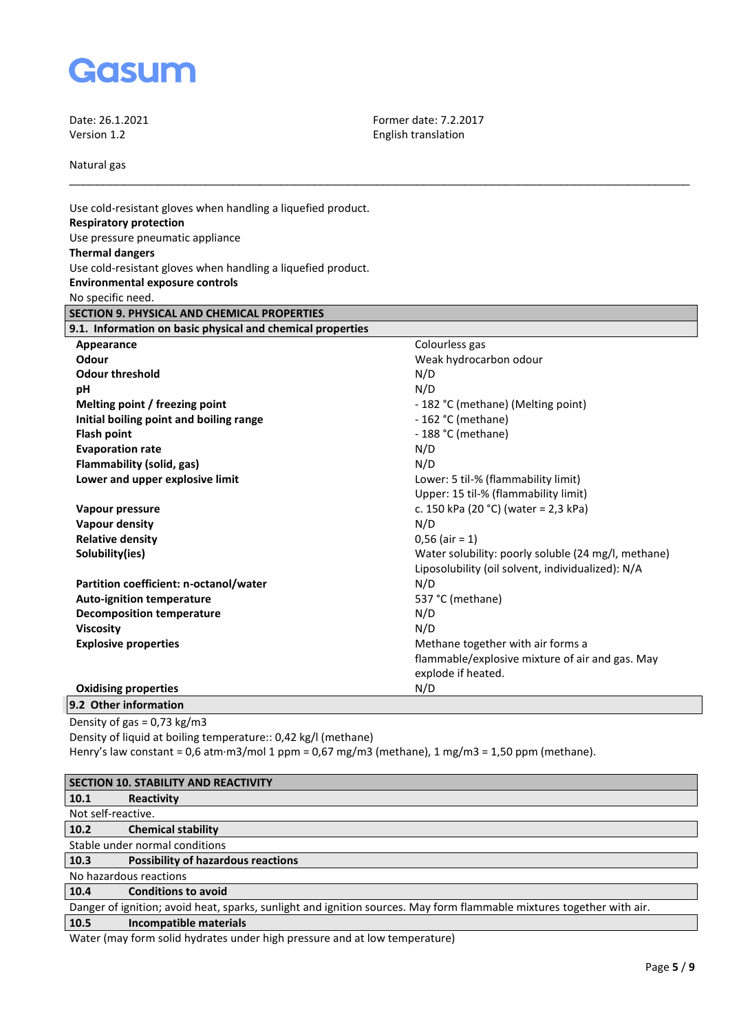

Date: 26.1.2021 **Former date: 7.2.2017** Former date: 7.2.2017 English translation

Natural gas

| Use cold-resistant gloves when handling a liquefied product. |                                                     |
|--------------------------------------------------------------|-----------------------------------------------------|
| <b>Respiratory protection</b>                                |                                                     |
| Use pressure pneumatic appliance                             |                                                     |
| <b>Thermal dangers</b>                                       |                                                     |
| Use cold-resistant gloves when handling a liquefied product. |                                                     |
| <b>Environmental exposure controls</b>                       |                                                     |
| No specific need.                                            |                                                     |
| SECTION 9. PHYSICAL AND CHEMICAL PROPERTIES                  |                                                     |
| 9.1. Information on basic physical and chemical properties   |                                                     |
| Appearance                                                   | Colourless gas                                      |
| Odour                                                        | Weak hydrocarbon odour                              |
| <b>Odour threshold</b>                                       | N/D                                                 |
| pH                                                           | N/D                                                 |
| Melting point / freezing point                               | - 182 °C (methane) (Melting point)                  |
| Initial boiling point and boiling range                      | - 162 °C (methane)                                  |
| <b>Flash point</b>                                           | - 188 °C (methane)                                  |
| <b>Evaporation rate</b>                                      | N/D                                                 |
| Flammability (solid, gas)                                    | N/D                                                 |
| Lower and upper explosive limit                              | Lower: 5 til-% (flammability limit)                 |
|                                                              | Upper: 15 til-% (flammability limit)                |
| Vapour pressure                                              | c. 150 kPa (20 °C) (water = 2,3 kPa)                |
| <b>Vapour density</b>                                        | N/D                                                 |
| <b>Relative density</b>                                      | $0,56$ (air = 1)                                    |
| Solubility(ies)                                              | Water solubility: poorly soluble (24 mg/l, methane) |
|                                                              | Liposolubility (oil solvent, individualized): N/A   |
| Partition coefficient: n-octanol/water                       | N/D                                                 |
| <b>Auto-ignition temperature</b>                             | 537 °C (methane)                                    |
| <b>Decomposition temperature</b>                             | N/D                                                 |
| <b>Viscosity</b>                                             | N/D                                                 |
| <b>Explosive properties</b>                                  | Methane together with air forms a                   |
|                                                              | flammable/explosive mixture of air and gas. May     |
|                                                              | explode if heated.                                  |
| <b>Oxidising properties</b>                                  | N/D                                                 |
| $0.2$ Other information                                      |                                                     |

\_\_\_\_\_\_\_\_\_\_\_\_\_\_\_\_\_\_\_\_\_\_\_\_\_\_\_\_\_\_\_\_\_\_\_\_\_\_\_\_\_\_\_\_\_\_\_\_\_\_\_\_\_\_\_\_\_\_\_\_\_\_\_\_\_\_\_\_\_\_\_\_\_\_\_\_\_\_\_\_\_\_\_\_\_\_\_\_\_\_\_

**9.2 Other information** Density of gas = 0,73 kg/m3

Density of liquid at boiling temperature:: 0,42 kg/l (methane) Henry's law constant = 0,6 atm·m3/mol 1 ppm = 0,67 mg/m3 (methane), 1 mg/m3 = 1,50 ppm (methane).

|                                                                                                                       | <b>SECTION 10. STABILITY AND REACTIVITY</b>                                |  |  |
|-----------------------------------------------------------------------------------------------------------------------|----------------------------------------------------------------------------|--|--|
| 10.1                                                                                                                  | Reactivity                                                                 |  |  |
| Not self-reactive.                                                                                                    |                                                                            |  |  |
| 10.2                                                                                                                  | <b>Chemical stability</b>                                                  |  |  |
|                                                                                                                       | Stable under normal conditions                                             |  |  |
| 10.3                                                                                                                  | <b>Possibility of hazardous reactions</b>                                  |  |  |
|                                                                                                                       | No hazardous reactions                                                     |  |  |
| 10.4                                                                                                                  | <b>Conditions to avoid</b>                                                 |  |  |
| Danger of ignition; avoid heat, sparks, sunlight and ignition sources. May form flammable mixtures together with air. |                                                                            |  |  |
| 10.5                                                                                                                  | <b>Incompatible materials</b>                                              |  |  |
|                                                                                                                       | Water (may form solid hydrates under high pressure and at low temperature) |  |  |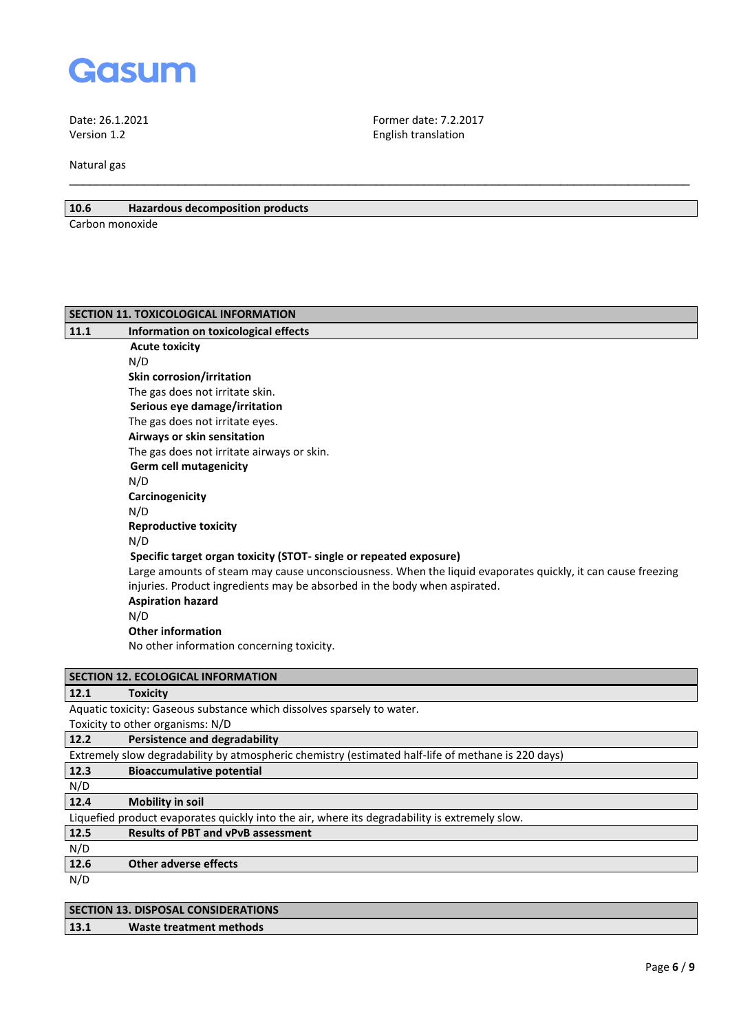

Date: 26.1.2021 **Former date: 7.2.2017**<br>Version 1.2 **Former date: 7.2.2017** 

Natural gas

# **10.6 Hazardous decomposition products**

Carbon monoxide

| SECTION 11. TOXICOLOGICAL INFORMATION |                                                                                                             |  |
|---------------------------------------|-------------------------------------------------------------------------------------------------------------|--|
| 11.1                                  | Information on toxicological effects                                                                        |  |
|                                       | <b>Acute toxicity</b>                                                                                       |  |
|                                       | N/D                                                                                                         |  |
|                                       | Skin corrosion/irritation                                                                                   |  |
|                                       | The gas does not irritate skin.                                                                             |  |
|                                       | Serious eye damage/irritation                                                                               |  |
|                                       | The gas does not irritate eyes.                                                                             |  |
|                                       | Airways or skin sensitation                                                                                 |  |
|                                       | The gas does not irritate airways or skin.                                                                  |  |
|                                       | <b>Germ cell mutagenicity</b>                                                                               |  |
|                                       | N/D                                                                                                         |  |
|                                       | Carcinogenicity                                                                                             |  |
|                                       | N/D                                                                                                         |  |
|                                       | <b>Reproductive toxicity</b>                                                                                |  |
|                                       | N/D                                                                                                         |  |
|                                       | Specific target organ toxicity (STOT- single or repeated exposure)                                          |  |
|                                       | Large amounts of steam may cause unconsciousness. When the liquid evaporates quickly, it can cause freezing |  |
|                                       | injuries. Product ingredients may be absorbed in the body when aspirated.                                   |  |
|                                       | <b>Aspiration hazard</b>                                                                                    |  |
|                                       | N/D                                                                                                         |  |
|                                       | <b>Other information</b>                                                                                    |  |
|                                       | No other information concerning toxicity.                                                                   |  |
|                                       |                                                                                                             |  |

English translation

\_\_\_\_\_\_\_\_\_\_\_\_\_\_\_\_\_\_\_\_\_\_\_\_\_\_\_\_\_\_\_\_\_\_\_\_\_\_\_\_\_\_\_\_\_\_\_\_\_\_\_\_\_\_\_\_\_\_\_\_\_\_\_\_\_\_\_\_\_\_\_\_\_\_\_\_\_\_\_\_\_\_\_\_\_\_\_\_\_\_\_

|                                                                                               | <b>SECTION 12. ECOLOGICAL INFORMATION</b>                                                          |  |
|-----------------------------------------------------------------------------------------------|----------------------------------------------------------------------------------------------------|--|
| 12.1                                                                                          | <b>Toxicity</b>                                                                                    |  |
|                                                                                               | Aquatic toxicity: Gaseous substance which dissolves sparsely to water.                             |  |
|                                                                                               | Toxicity to other organisms: N/D                                                                   |  |
| 12.2                                                                                          | Persistence and degradability                                                                      |  |
|                                                                                               | Extremely slow degradability by atmospheric chemistry (estimated half-life of methane is 220 days) |  |
| 12.3                                                                                          | <b>Bioaccumulative potential</b>                                                                   |  |
| N/D                                                                                           |                                                                                                    |  |
| 12.4                                                                                          | <b>Mobility in soil</b>                                                                            |  |
| Liquefied product evaporates quickly into the air, where its degradability is extremely slow. |                                                                                                    |  |
| 12.5                                                                                          | <b>Results of PBT and vPvB assessment</b>                                                          |  |
| N/D                                                                                           |                                                                                                    |  |
| 12.6                                                                                          | <b>Other adverse effects</b>                                                                       |  |
| N/D                                                                                           |                                                                                                    |  |
|                                                                                               |                                                                                                    |  |

|      | <b>SECTION 13. DISPOSAL CONSIDERATIONS</b> |
|------|--------------------------------------------|
| 13.1 | Waste treatment methods                    |
|      |                                            |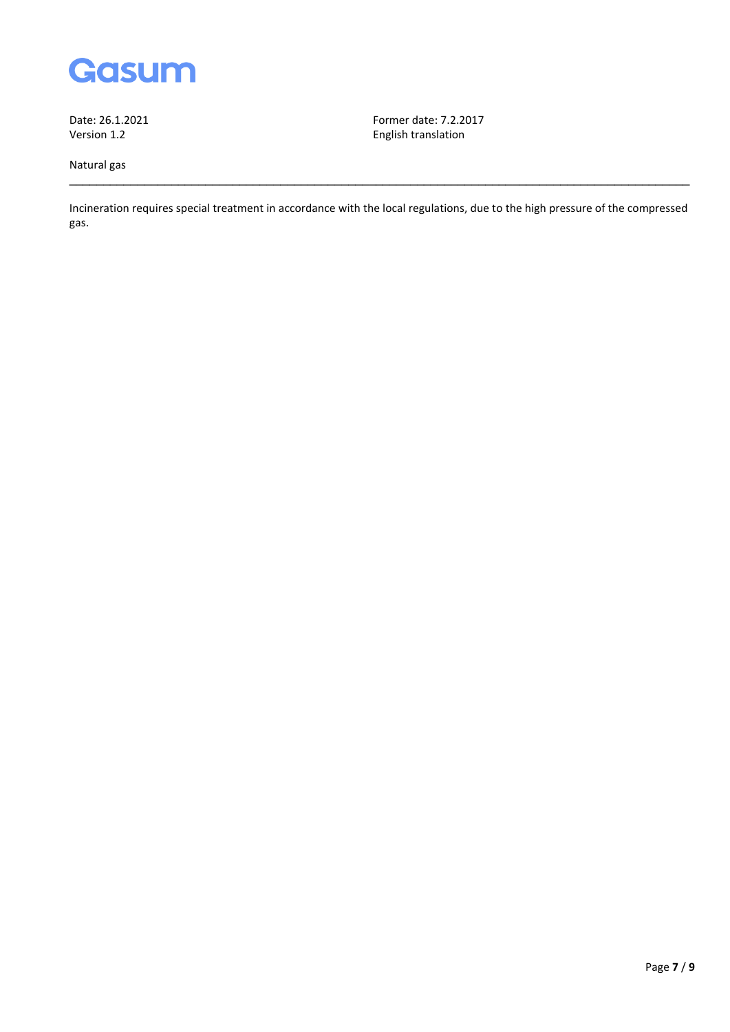

Natural gas

Date: 26.1.2021 **Former date: 7.2.2017** Former date: 7.2.2017 English translation

Incineration requires special treatment in accordance with the local regulations, due to the high pressure of the compressed gas.

\_\_\_\_\_\_\_\_\_\_\_\_\_\_\_\_\_\_\_\_\_\_\_\_\_\_\_\_\_\_\_\_\_\_\_\_\_\_\_\_\_\_\_\_\_\_\_\_\_\_\_\_\_\_\_\_\_\_\_\_\_\_\_\_\_\_\_\_\_\_\_\_\_\_\_\_\_\_\_\_\_\_\_\_\_\_\_\_\_\_\_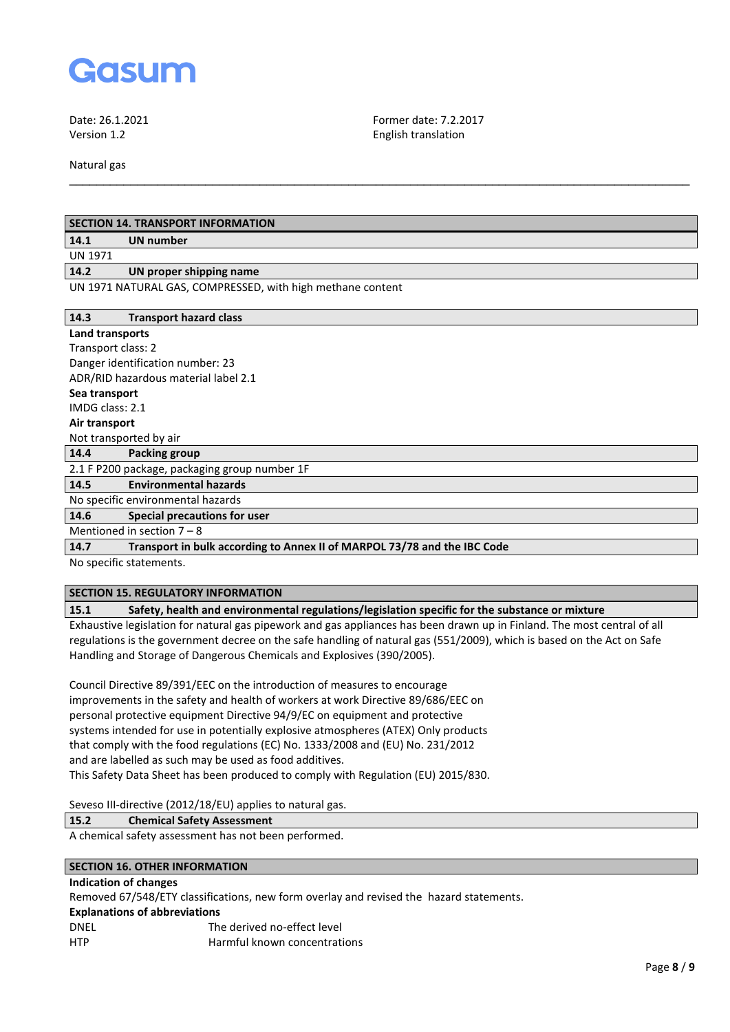

Date: 26.1.2021 Former date: 7.2.2017 Version 1.2 English translation

Natural gas

| <b>SECTION 14. TRANSPORT INFORMATION</b> |                                                                          |  |
|------------------------------------------|--------------------------------------------------------------------------|--|
| 14.1                                     | <b>UN number</b>                                                         |  |
| <b>UN 1971</b>                           |                                                                          |  |
| 14.2                                     | UN proper shipping name                                                  |  |
|                                          | UN 1971 NATURAL GAS, COMPRESSED, with high methane content               |  |
| 14.3                                     | <b>Transport hazard class</b>                                            |  |
| <b>Land transports</b>                   |                                                                          |  |
| Transport class: 2                       |                                                                          |  |
|                                          | Danger identification number: 23                                         |  |
|                                          | ADR/RID hazardous material label 2.1                                     |  |
| Sea transport                            |                                                                          |  |
| IMDG class: 2.1                          |                                                                          |  |
| Air transport                            |                                                                          |  |
| Not transported by air                   |                                                                          |  |
| 14.4                                     | Packing group                                                            |  |
|                                          | 2.1 F P200 package, packaging group number 1F                            |  |
| 14.5                                     | <b>Environmental hazards</b>                                             |  |
| No specific environmental hazards        |                                                                          |  |
| 14.6                                     | Special precautions for user                                             |  |
| Mentioned in section $7 - 8$             |                                                                          |  |
| 14.7                                     | Transport in bulk according to Annex II of MARPOL 73/78 and the IBC Code |  |
| No specific statements.                  |                                                                          |  |
|                                          |                                                                          |  |

\_\_\_\_\_\_\_\_\_\_\_\_\_\_\_\_\_\_\_\_\_\_\_\_\_\_\_\_\_\_\_\_\_\_\_\_\_\_\_\_\_\_\_\_\_\_\_\_\_\_\_\_\_\_\_\_\_\_\_\_\_\_\_\_\_\_\_\_\_\_\_\_\_\_\_\_\_\_\_\_\_\_\_\_\_\_\_\_\_\_\_

## **SECTION 15. REGULATORY INFORMATION**

## **15.1 Safety, health and environmental regulations/legislation specific for the substance or mixture**

Exhaustive legislation for natural gas pipework and gas appliances has been drawn up in Finland. The most central of all regulations is the government decree on the safe handling of natural gas (551/2009), which is based on the Act on Safe Handling and Storage of Dangerous Chemicals and Explosives (390/2005).

Council Directive 89/391/EEC on the introduction of measures to encourage improvements in the safety and health of workers at work Directive 89/686/EEC on personal protective equipment Directive 94/9/EC on equipment and protective systems intended for use in potentially explosive atmospheres (ATEX) Only products that comply with the food regulations (EC) No. 1333/2008 and (EU) No. 231/2012 and are labelled as such may be used as food additives. This Safety Data Sheet has been produced to comply with Regulation (EU) 2015/830.

Seveso III-directive (2012/18/EU) applies to natural gas.

### **15.2 Chemical Safety Assessment**

A chemical safety assessment has not been performed.

# **SECTION 16. OTHER INFORMATION**

# **Indication of changes**

Removed 67/548/ETY classifications, new form overlay and revised the hazard statements.

#### **Explanations of abbreviations**

| DNFI       | The derived no-effect level  |
|------------|------------------------------|
| <b>HTP</b> | Harmful known concentrations |